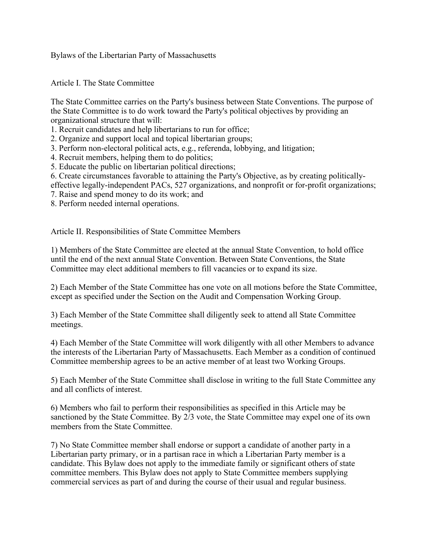Bylaws of the Libertarian Party of Massachusetts

Article I. The State Committee

The State Committee carries on the Party's business between State Conventions. The purpose of the State Committee is to do work toward the Party's political objectives by providing an organizational structure that will:

1. Recruit candidates and help libertarians to run for office;

2. Organize and support local and topical libertarian groups;

- 3. Perform non-electoral political acts, e.g., referenda, lobbying, and litigation;
- 4. Recruit members, helping them to do politics;
- 5. Educate the public on libertarian political directions;
- 6. Create circumstances favorable to attaining the Party's Objective, as by creating politically-
- effective legally-independent PACs, 527 organizations, and nonprofit or for-profit organizations;
- 7. Raise and spend money to do its work; and
- 8. Perform needed internal operations.

Article II. Responsibilities of State Committee Members

1) Members of the State Committee are elected at the annual State Convention, to hold office until the end of the next annual State Convention. Between State Conventions, the State Committee may elect additional members to fill vacancies or to expand its size.

2) Each Member of the State Committee has one vote on all motions before the State Committee, except as specified under the Section on the Audit and Compensation Working Group.

3) Each Member of the State Committee shall diligently seek to attend all State Committee meetings.

4) Each Member of the State Committee will work diligently with all other Members to advance the interests of the Libertarian Party of Massachusetts. Each Member as a condition of continued Committee membership agrees to be an active member of at least two Working Groups.

5) Each Member of the State Committee shall disclose in writing to the full State Committee any and all conflicts of interest.

6) Members who fail to perform their responsibilities as specified in this Article may be sanctioned by the State Committee. By 2/3 vote, the State Committee may expel one of its own members from the State Committee.

7) No State Committee member shall endorse or support a candidate of another party in a Libertarian party primary, or in a partisan race in which a Libertarian Party member is a candidate. This Bylaw does not apply to the immediate family or significant others of state committee members. This Bylaw does not apply to State Committee members supplying commercial services as part of and during the course of their usual and regular business.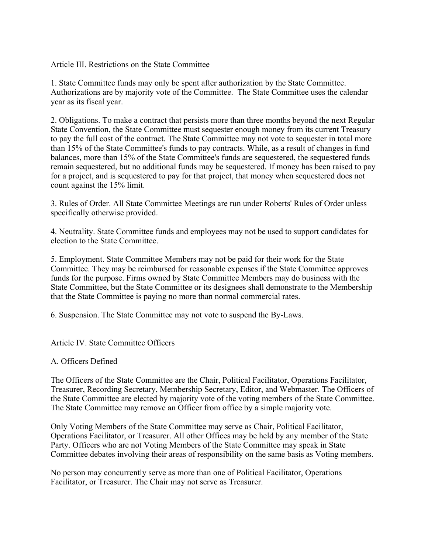Article III. Restrictions on the State Committee

1. State Committee funds may only be spent after authorization by the State Committee. Authorizations are by majority vote of the Committee. The State Committee uses the calendar year as its fiscal year.

2. Obligations. To make a contract that persists more than three months beyond the next Regular State Convention, the State Committee must sequester enough money from its current Treasury to pay the full cost of the contract. The State Committee may not vote to sequester in total more than 15% of the State Committee's funds to pay contracts. While, as a result of changes in fund balances, more than 15% of the State Committee's funds are sequestered, the sequestered funds remain sequestered, but no additional funds may be sequestered. If money has been raised to pay for a project, and is sequestered to pay for that project, that money when sequestered does not count against the 15% limit.

3. Rules of Order. All State Committee Meetings are run under Roberts' Rules of Order unless specifically otherwise provided.

4. Neutrality. State Committee funds and employees may not be used to support candidates for election to the State Committee.

5. Employment. State Committee Members may not be paid for their work for the State Committee. They may be reimbursed for reasonable expenses if the State Committee approves funds for the purpose. Firms owned by State Committee Members may do business with the State Committee, but the State Committee or its designees shall demonstrate to the Membership that the State Committee is paying no more than normal commercial rates.

6. Suspension. The State Committee may not vote to suspend the By-Laws.

Article IV. State Committee Officers

A. Officers Defined

The Officers of the State Committee are the Chair, Political Facilitator, Operations Facilitator, Treasurer, Recording Secretary, Membership Secretary, Editor, and Webmaster. The Officers of the State Committee are elected by majority vote of the voting members of the State Committee. The State Committee may remove an Officer from office by a simple majority vote.

Only Voting Members of the State Committee may serve as Chair, Political Facilitator, Operations Facilitator, or Treasurer. All other Offices may be held by any member of the State Party. Officers who are not Voting Members of the State Committee may speak in State Committee debates involving their areas of responsibility on the same basis as Voting members.

No person may concurrently serve as more than one of Political Facilitator, Operations Facilitator, or Treasurer. The Chair may not serve as Treasurer.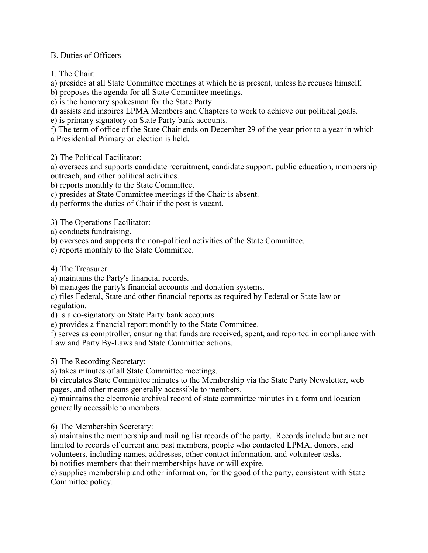## B. Duties of Officers

1. The Chair:

a) presides at all State Committee meetings at which he is present, unless he recuses himself.

b) proposes the agenda for all State Committee meetings.

c) is the honorary spokesman for the State Party.

d) assists and inspires LPMA Members and Chapters to work to achieve our political goals.

e) is primary signatory on State Party bank accounts.

f) The term of office of the State Chair ends on December 29 of the year prior to a year in which a Presidential Primary or election is held.

2) The Political Facilitator:

a) oversees and supports candidate recruitment, candidate support, public education, membership outreach, and other political activities.

b) reports monthly to the State Committee.

c) presides at State Committee meetings if the Chair is absent.

d) performs the duties of Chair if the post is vacant.

3) The Operations Facilitator:

a) conducts fundraising.

b) oversees and supports the non-political activities of the State Committee.

c) reports monthly to the State Committee.

4) The Treasurer:

a) maintains the Party's financial records.

b) manages the party's financial accounts and donation systems.

c) files Federal, State and other financial reports as required by Federal or State law or regulation.

d) is a co-signatory on State Party bank accounts.

e) provides a financial report monthly to the State Committee.

f) serves as comptroller, ensuring that funds are received, spent, and reported in compliance with Law and Party By-Laws and State Committee actions.

5) The Recording Secretary:

a) takes minutes of all State Committee meetings.

b) circulates State Committee minutes to the Membership via the State Party Newsletter, web pages, and other means generally accessible to members.

c) maintains the electronic archival record of state committee minutes in a form and location generally accessible to members.

6) The Membership Secretary:

a) maintains the membership and mailing list records of the party. Records include but are not limited to records of current and past members, people who contacted LPMA, donors, and volunteers, including names, addresses, other contact information, and volunteer tasks. b) notifies members that their memberships have or will expire.

c) supplies membership and other information, for the good of the party, consistent with State Committee policy.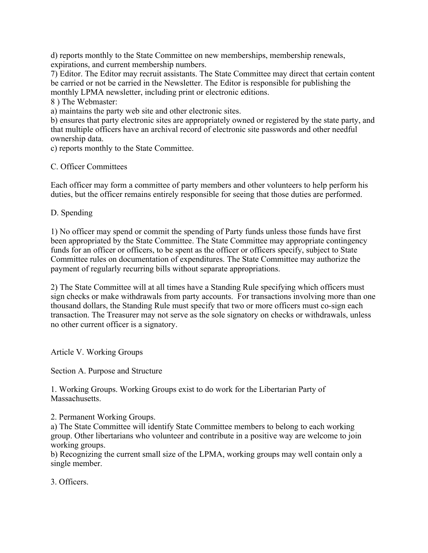d) reports monthly to the State Committee on new memberships, membership renewals, expirations, and current membership numbers.

7) Editor. The Editor may recruit assistants. The State Committee may direct that certain content be carried or not be carried in the Newsletter. The Editor is responsible for publishing the monthly LPMA newsletter, including print or electronic editions.

8 ) The Webmaster:

a) maintains the party web site and other electronic sites.

b) ensures that party electronic sites are appropriately owned or registered by the state party, and that multiple officers have an archival record of electronic site passwords and other needful ownership data.

c) reports monthly to the State Committee.

C. Officer Committees

Each officer may form a committee of party members and other volunteers to help perform his duties, but the officer remains entirely responsible for seeing that those duties are performed.

D. Spending

1) No officer may spend or commit the spending of Party funds unless those funds have first been appropriated by the State Committee. The State Committee may appropriate contingency funds for an officer or officers, to be spent as the officer or officers specify, subject to State Committee rules on documentation of expenditures. The State Committee may authorize the payment of regularly recurring bills without separate appropriations.

2) The State Committee will at all times have a Standing Rule specifying which officers must sign checks or make withdrawals from party accounts. For transactions involving more than one thousand dollars, the Standing Rule must specify that two or more officers must co-sign each transaction. The Treasurer may not serve as the sole signatory on checks or withdrawals, unless no other current officer is a signatory.

Article V. Working Groups

Section A. Purpose and Structure

1. Working Groups. Working Groups exist to do work for the Libertarian Party of Massachusetts.

2. Permanent Working Groups.

a) The State Committee will identify State Committee members to belong to each working group. Other libertarians who volunteer and contribute in a positive way are welcome to join working groups.

b) Recognizing the current small size of the LPMA, working groups may well contain only a single member.

3. Officers.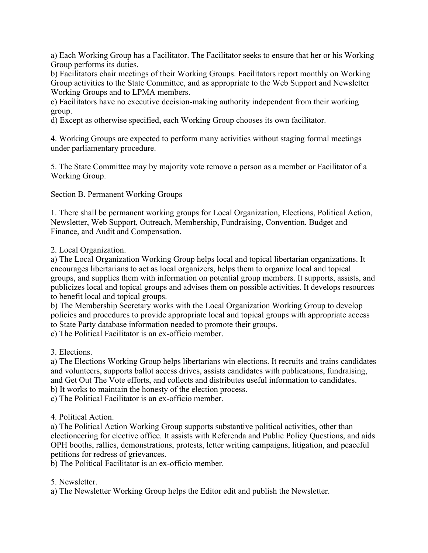a) Each Working Group has a Facilitator. The Facilitator seeks to ensure that her or his Working Group performs its duties.

b) Facilitators chair meetings of their Working Groups. Facilitators report monthly on Working Group activities to the State Committee, and as appropriate to the Web Support and Newsletter Working Groups and to LPMA members.

c) Facilitators have no executive decision-making authority independent from their working group.

d) Except as otherwise specified, each Working Group chooses its own facilitator.

4. Working Groups are expected to perform many activities without staging formal meetings under parliamentary procedure.

5. The State Committee may by majority vote remove a person as a member or Facilitator of a Working Group.

Section B. Permanent Working Groups

1. There shall be permanent working groups for Local Organization, Elections, Political Action, Newsletter, Web Support, Outreach, Membership, Fundraising, Convention, Budget and Finance, and Audit and Compensation.

2. Local Organization.

a) The Local Organization Working Group helps local and topical libertarian organizations. It encourages libertarians to act as local organizers, helps them to organize local and topical groups, and supplies them with information on potential group members. It supports, assists, and publicizes local and topical groups and advises them on possible activities. It develops resources to benefit local and topical groups.

b) The Membership Secretary works with the Local Organization Working Group to develop policies and procedures to provide appropriate local and topical groups with appropriate access to State Party database information needed to promote their groups.

c) The Political Facilitator is an ex-officio member.

3. Elections.

a) The Elections Working Group helps libertarians win elections. It recruits and trains candidates and volunteers, supports ballot access drives, assists candidates with publications, fundraising, and Get Out The Vote efforts, and collects and distributes useful information to candidates. b) It works to maintain the honesty of the election process.

c) The Political Facilitator is an ex-officio member.

4. Political Action.

a) The Political Action Working Group supports substantive political activities, other than electioneering for elective office. It assists with Referenda and Public Policy Questions, and aids OPH booths, rallies, demonstrations, protests, letter writing campaigns, litigation, and peaceful petitions for redress of grievances.

b) The Political Facilitator is an ex-officio member.

5. Newsletter.

a) The Newsletter Working Group helps the Editor edit and publish the Newsletter.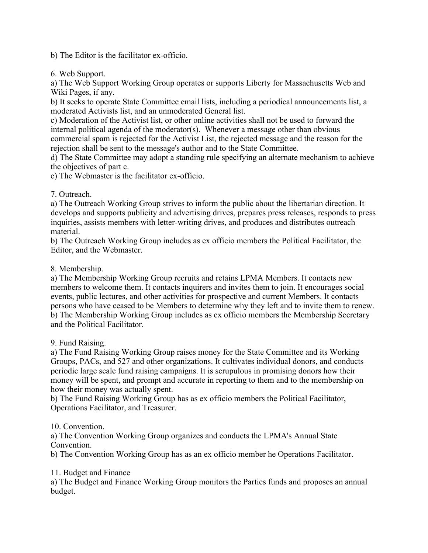b) The Editor is the facilitator ex-officio.

6. Web Support.

a) The Web Support Working Group operates or supports Liberty for Massachusetts Web and Wiki Pages, if any.

b) It seeks to operate State Committee email lists, including a periodical announcements list, a moderated Activists list, and an unmoderated General list.

c) Moderation of the Activist list, or other online activities shall not be used to forward the internal political agenda of the moderator(s). Whenever a message other than obvious commercial spam is rejected for the Activist List, the rejected message and the reason for the rejection shall be sent to the message's author and to the State Committee.

d) The State Committee may adopt a standing rule specifying an alternate mechanism to achieve the objectives of part c.

e) The Webmaster is the facilitator ex-officio.

## 7. Outreach.

a) The Outreach Working Group strives to inform the public about the libertarian direction. It develops and supports publicity and advertising drives, prepares press releases, responds to press inquiries, assists members with letter-writing drives, and produces and distributes outreach material.

b) The Outreach Working Group includes as ex officio members the Political Facilitator, the Editor, and the Webmaster.

## 8. Membership.

a) The Membership Working Group recruits and retains LPMA Members. It contacts new members to welcome them. It contacts inquirers and invites them to join. It encourages social events, public lectures, and other activities for prospective and current Members. It contacts persons who have ceased to be Members to determine why they left and to invite them to renew. b) The Membership Working Group includes as ex officio members the Membership Secretary and the Political Facilitator.

#### 9. Fund Raising.

a) The Fund Raising Working Group raises money for the State Committee and its Working Groups, PACs, and 527 and other organizations. It cultivates individual donors, and conducts periodic large scale fund raising campaigns. It is scrupulous in promising donors how their money will be spent, and prompt and accurate in reporting to them and to the membership on how their money was actually spent.

b) The Fund Raising Working Group has as ex officio members the Political Facilitator, Operations Facilitator, and Treasurer.

# 10. Convention.

a) The Convention Working Group organizes and conducts the LPMA's Annual State Convention.

b) The Convention Working Group has as an ex officio member he Operations Facilitator.

#### 11. Budget and Finance

a) The Budget and Finance Working Group monitors the Parties funds and proposes an annual budget.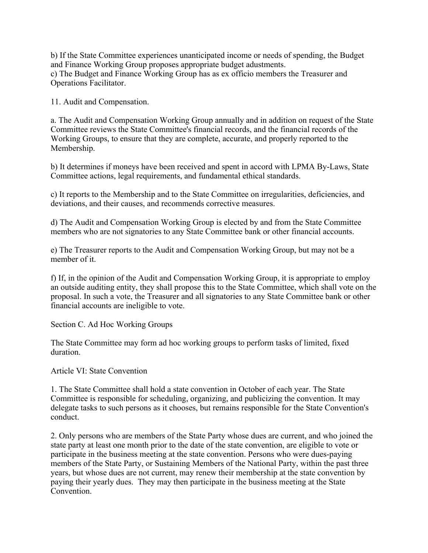b) If the State Committee experiences unanticipated income or needs of spending, the Budget and Finance Working Group proposes appropriate budget adustments. c) The Budget and Finance Working Group has as ex officio members the Treasurer and Operations Facilitator.

11. Audit and Compensation.

a. The Audit and Compensation Working Group annually and in addition on request of the State Committee reviews the State Committee's financial records, and the financial records of the Working Groups, to ensure that they are complete, accurate, and properly reported to the Membership.

b) It determines if moneys have been received and spent in accord with LPMA By-Laws, State Committee actions, legal requirements, and fundamental ethical standards.

c) It reports to the Membership and to the State Committee on irregularities, deficiencies, and deviations, and their causes, and recommends corrective measures.

d) The Audit and Compensation Working Group is elected by and from the State Committee members who are not signatories to any State Committee bank or other financial accounts.

e) The Treasurer reports to the Audit and Compensation Working Group, but may not be a member of it.

f) If, in the opinion of the Audit and Compensation Working Group, it is appropriate to employ an outside auditing entity, they shall propose this to the State Committee, which shall vote on the proposal. In such a vote, the Treasurer and all signatories to any State Committee bank or other financial accounts are ineligible to vote.

Section C. Ad Hoc Working Groups

The State Committee may form ad hoc working groups to perform tasks of limited, fixed duration.

Article VI: State Convention

1. The State Committee shall hold a state convention in October of each year. The State Committee is responsible for scheduling, organizing, and publicizing the convention. It may delegate tasks to such persons as it chooses, but remains responsible for the State Convention's conduct.

2. Only persons who are members of the State Party whose dues are current, and who joined the state party at least one month prior to the date of the state convention, are eligible to vote or participate in the business meeting at the state convention. Persons who were dues-paying members of the State Party, or Sustaining Members of the National Party, within the past three years, but whose dues are not current, may renew their membership at the state convention by paying their yearly dues. They may then participate in the business meeting at the State Convention.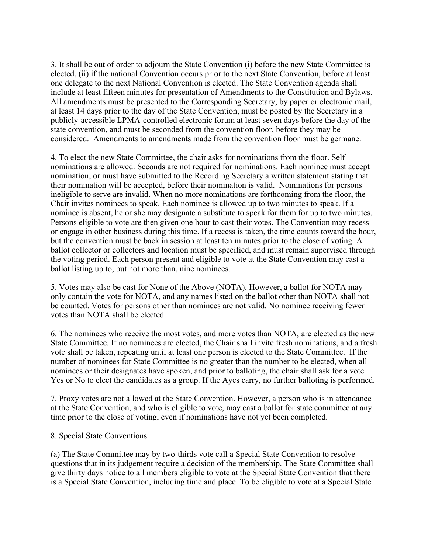3. It shall be out of order to adjourn the State Convention (i) before the new State Committee is elected, (ii) if the national Convention occurs prior to the next State Convention, before at least one delegate to the next National Convention is elected. The State Convention agenda shall include at least fifteen minutes for presentation of Amendments to the Constitution and Bylaws. All amendments must be presented to the Corresponding Secretary, by paper or electronic mail, at least 14 days prior to the day of the State Convention, must be posted by the Secretary in a publicly-accessible LPMA-controlled electronic forum at least seven days before the day of the state convention, and must be seconded from the convention floor, before they may be considered. Amendments to amendments made from the convention floor must be germane.

4. To elect the new State Committee, the chair asks for nominations from the floor. Self nominations are allowed. Seconds are not required for nominations. Each nominee must accept nomination, or must have submitted to the Recording Secretary a written statement stating that their nomination will be accepted, before their nomination is valid. Nominations for persons ineligible to serve are invalid. When no more nominations are forthcoming from the floor, the Chair invites nominees to speak. Each nominee is allowed up to two minutes to speak. If a nominee is absent, he or she may designate a substitute to speak for them for up to two minutes. Persons eligible to vote are then given one hour to cast their votes. The Convention may recess or engage in other business during this time. If a recess is taken, the time counts toward the hour, but the convention must be back in session at least ten minutes prior to the close of voting. A ballot collector or collectors and location must be specified, and must remain supervised through the voting period. Each person present and eligible to vote at the State Convention may cast a ballot listing up to, but not more than, nine nominees.

5. Votes may also be cast for None of the Above (NOTA). However, a ballot for NOTA may only contain the vote for NOTA, and any names listed on the ballot other than NOTA shall not be counted. Votes for persons other than nominees are not valid. No nominee receiving fewer votes than NOTA shall be elected.

6. The nominees who receive the most votes, and more votes than NOTA, are elected as the new State Committee. If no nominees are elected, the Chair shall invite fresh nominations, and a fresh vote shall be taken, repeating until at least one person is elected to the State Committee. If the number of nominees for State Committee is no greater than the number to be elected, when all nominees or their designates have spoken, and prior to balloting, the chair shall ask for a vote Yes or No to elect the candidates as a group. If the Ayes carry, no further balloting is performed.

7. Proxy votes are not allowed at the State Convention. However, a person who is in attendance at the State Convention, and who is eligible to vote, may cast a ballot for state committee at any time prior to the close of voting, even if nominations have not yet been completed.

#### 8. Special State Conventions

(a) The State Committee may by two-thirds vote call a Special State Convention to resolve questions that in its judgement require a decision of the membership. The State Committee shall give thirty days notice to all members eligible to vote at the Special State Convention that there is a Special State Convention, including time and place. To be eligible to vote at a Special State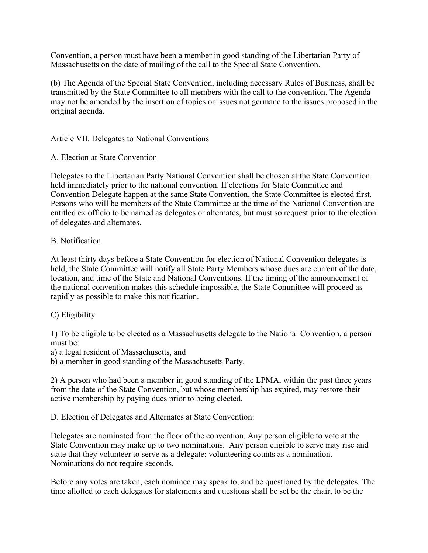Convention, a person must have been a member in good standing of the Libertarian Party of Massachusetts on the date of mailing of the call to the Special State Convention.

(b) The Agenda of the Special State Convention, including necessary Rules of Business, shall be transmitted by the State Committee to all members with the call to the convention. The Agenda may not be amended by the insertion of topics or issues not germane to the issues proposed in the original agenda.

Article VII. Delegates to National Conventions

A. Election at State Convention

Delegates to the Libertarian Party National Convention shall be chosen at the State Convention held immediately prior to the national convention. If elections for State Committee and Convention Delegate happen at the same State Convention, the State Committee is elected first. Persons who will be members of the State Committee at the time of the National Convention are entitled ex officio to be named as delegates or alternates, but must so request prior to the election of delegates and alternates.

#### B. Notification

At least thirty days before a State Convention for election of National Convention delegates is held, the State Committee will notify all State Party Members whose dues are current of the date, location, and time of the State and National Conventions. If the timing of the announcement of the national convention makes this schedule impossible, the State Committee will proceed as rapidly as possible to make this notification.

#### C) Eligibility

1) To be eligible to be elected as a Massachusetts delegate to the National Convention, a person must be:

a) a legal resident of Massachusetts, and

b) a member in good standing of the Massachusetts Party.

2) A person who had been a member in good standing of the LPMA, within the past three years from the date of the State Convention, but whose membership has expired, may restore their active membership by paying dues prior to being elected.

D. Election of Delegates and Alternates at State Convention:

Delegates are nominated from the floor of the convention. Any person eligible to vote at the State Convention may make up to two nominations. Any person eligible to serve may rise and state that they volunteer to serve as a delegate; volunteering counts as a nomination. Nominations do not require seconds.

Before any votes are taken, each nominee may speak to, and be questioned by the delegates. The time allotted to each delegates for statements and questions shall be set be the chair, to be the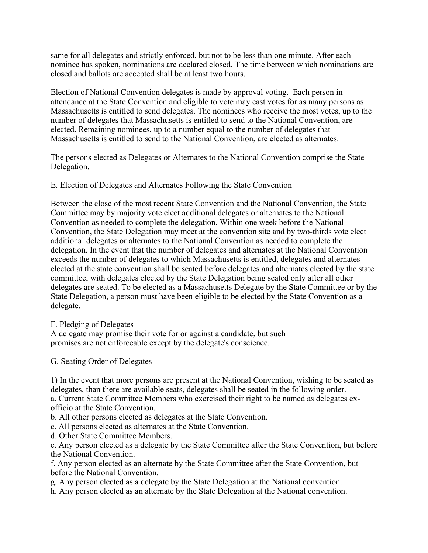same for all delegates and strictly enforced, but not to be less than one minute. After each nominee has spoken, nominations are declared closed. The time between which nominations are closed and ballots are accepted shall be at least two hours.

Election of National Convention delegates is made by approval voting. Each person in attendance at the State Convention and eligible to vote may cast votes for as many persons as Massachusetts is entitled to send delegates. The nominees who receive the most votes, up to the number of delegates that Massachusetts is entitled to send to the National Convention, are elected. Remaining nominees, up to a number equal to the number of delegates that Massachusetts is entitled to send to the National Convention, are elected as alternates.

The persons elected as Delegates or Alternates to the National Convention comprise the State Delegation.

E. Election of Delegates and Alternates Following the State Convention

Between the close of the most recent State Convention and the National Convention, the State Committee may by majority vote elect additional delegates or alternates to the National Convention as needed to complete the delegation. Within one week before the National Convention, the State Delegation may meet at the convention site and by two-thirds vote elect additional delegates or alternates to the National Convention as needed to complete the delegation. In the event that the number of delegates and alternates at the National Convention exceeds the number of delegates to which Massachusetts is entitled, delegates and alternates elected at the state convention shall be seated before delegates and alternates elected by the state committee, with delegates elected by the State Delegation being seated only after all other delegates are seated. To be elected as a Massachusetts Delegate by the State Committee or by the State Delegation, a person must have been eligible to be elected by the State Convention as a delegate.

#### F. Pledging of Delegates

A delegate may promise their vote for or against a candidate, but such promises are not enforceable except by the delegate's conscience.

G. Seating Order of Delegates

1) In the event that more persons are present at the National Convention, wishing to be seated as delegates, than there are available seats, delegates shall be seated in the following order.

a. Current State Committee Members who exercised their right to be named as delegates exofficio at the State Convention.

b. All other persons elected as delegates at the State Convention.

c. All persons elected as alternates at the State Convention.

d. Other State Committee Members.

e. Any person elected as a delegate by the State Committee after the State Convention, but before the National Convention.

f. Any person elected as an alternate by the State Committee after the State Convention, but before the National Convention.

g. Any person elected as a delegate by the State Delegation at the National convention.

h. Any person elected as an alternate by the State Delegation at the National convention.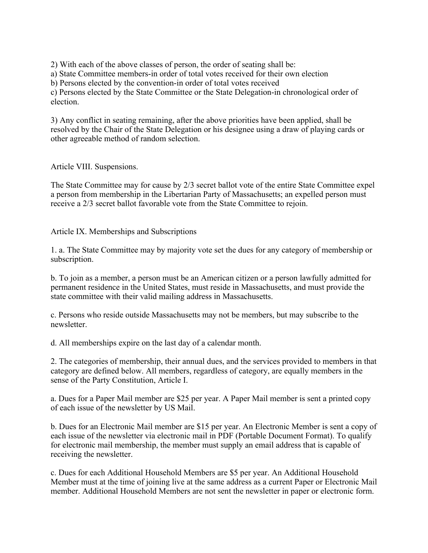2) With each of the above classes of person, the order of seating shall be:

a) State Committee members-in order of total votes received for their own election

b) Persons elected by the convention-in order of total votes received

c) Persons elected by the State Committee or the State Delegation-in chronological order of election.

3) Any conflict in seating remaining, after the above priorities have been applied, shall be resolved by the Chair of the State Delegation or his designee using a draw of playing cards or other agreeable method of random selection.

Article VIII. Suspensions.

The State Committee may for cause by 2/3 secret ballot vote of the entire State Committee expel a person from membership in the Libertarian Party of Massachusetts; an expelled person must receive a 2/3 secret ballot favorable vote from the State Committee to rejoin.

Article IX. Memberships and Subscriptions

1. a. The State Committee may by majority vote set the dues for any category of membership or subscription.

b. To join as a member, a person must be an American citizen or a person lawfully admitted for permanent residence in the United States, must reside in Massachusetts, and must provide the state committee with their valid mailing address in Massachusetts.

c. Persons who reside outside Massachusetts may not be members, but may subscribe to the newsletter.

d. All memberships expire on the last day of a calendar month.

2. The categories of membership, their annual dues, and the services provided to members in that category are defined below. All members, regardless of category, are equally members in the sense of the Party Constitution, Article I.

a. Dues for a Paper Mail member are \$25 per year. A Paper Mail member is sent a printed copy of each issue of the newsletter by US Mail.

b. Dues for an Electronic Mail member are \$15 per year. An Electronic Member is sent a copy of each issue of the newsletter via electronic mail in PDF (Portable Document Format). To qualify for electronic mail membership, the member must supply an email address that is capable of receiving the newsletter.

c. Dues for each Additional Household Members are \$5 per year. An Additional Household Member must at the time of joining live at the same address as a current Paper or Electronic Mail member. Additional Household Members are not sent the newsletter in paper or electronic form.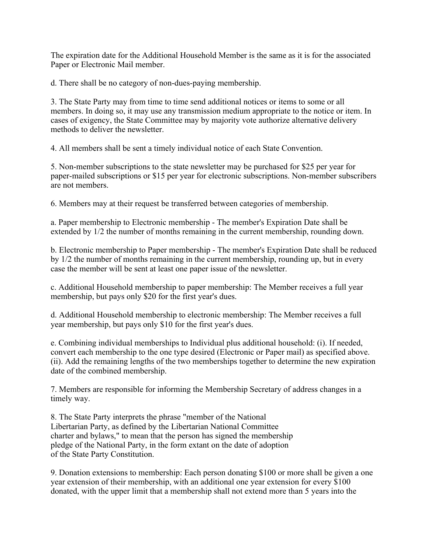The expiration date for the Additional Household Member is the same as it is for the associated Paper or Electronic Mail member.

d. There shall be no category of non-dues-paying membership.

3. The State Party may from time to time send additional notices or items to some or all members. In doing so, it may use any transmission medium appropriate to the notice or item. In cases of exigency, the State Committee may by majority vote authorize alternative delivery methods to deliver the newsletter.

4. All members shall be sent a timely individual notice of each State Convention.

5. Non-member subscriptions to the state newsletter may be purchased for \$25 per year for paper-mailed subscriptions or \$15 per year for electronic subscriptions. Non-member subscribers are not members.

6. Members may at their request be transferred between categories of membership.

a. Paper membership to Electronic membership - The member's Expiration Date shall be extended by 1/2 the number of months remaining in the current membership, rounding down.

b. Electronic membership to Paper membership - The member's Expiration Date shall be reduced by 1/2 the number of months remaining in the current membership, rounding up, but in every case the member will be sent at least one paper issue of the newsletter.

c. Additional Household membership to paper membership: The Member receives a full year membership, but pays only \$20 for the first year's dues.

d. Additional Household membership to electronic membership: The Member receives a full year membership, but pays only \$10 for the first year's dues.

e. Combining individual memberships to Individual plus additional household: (i). If needed, convert each membership to the one type desired (Electronic or Paper mail) as specified above. (ii). Add the remaining lengths of the two memberships together to determine the new expiration date of the combined membership.

7. Members are responsible for informing the Membership Secretary of address changes in a timely way.

8. The State Party interprets the phrase "member of the National Libertarian Party, as defined by the Libertarian National Committee charter and bylaws," to mean that the person has signed the membership pledge of the National Party, in the form extant on the date of adoption of the State Party Constitution.

9. Donation extensions to membership: Each person donating \$100 or more shall be given a one year extension of their membership, with an additional one year extension for every \$100 donated, with the upper limit that a membership shall not extend more than 5 years into the